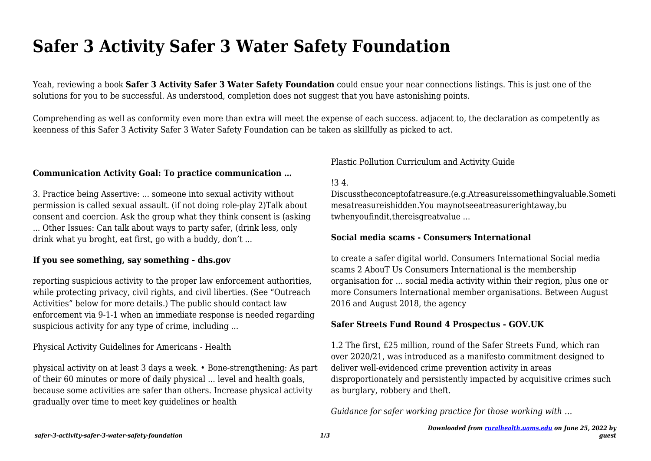# **Safer 3 Activity Safer 3 Water Safety Foundation**

Yeah, reviewing a book **Safer 3 Activity Safer 3 Water Safety Foundation** could ensue your near connections listings. This is just one of the solutions for you to be successful. As understood, completion does not suggest that you have astonishing points.

Comprehending as well as conformity even more than extra will meet the expense of each success. adjacent to, the declaration as competently as keenness of this Safer 3 Activity Safer 3 Water Safety Foundation can be taken as skillfully as picked to act.

## **Communication Activity Goal: To practice communication …**

3. Practice being Assertive: ... someone into sexual activity without permission is called sexual assault. (if not doing role-play 2)Talk about consent and coercion. Ask the group what they think consent is (asking ... Other Issues: Can talk about ways to party safer, (drink less, only drink what yu broght, eat first, go with a buddy, don't ...

#### **If you see something, say something - dhs.gov**

reporting suspicious activity to the proper law enforcement authorities, while protecting privacy, civil rights, and civil liberties. (See "Outreach" Activities" below for more details.) The public should contact law enforcement via 9-1-1 when an immediate response is needed regarding suspicious activity for any type of crime, including ...

#### Physical Activity Guidelines for Americans - Health

physical activity on at least 3 days a week. • Bone-strengthening: As part of their 60 minutes or more of daily physical ... level and health goals, because some activities are safer than others. Increase physical activity gradually over time to meet key guidelines or health

#### Plastic Pollution Curriculum and Activity Guide

#### !3 4.

Discusstheconceptofatreasure.(e.g.Atreasureissomethingvaluable.Someti mesatreasureishidden.You maynotseeatreasurerightaway,bu twhenyoufindit,thereisgreatvalue ...

#### **Social media scams - Consumers International**

to create a safer digital world. Consumers International Social media scams 2 AbouT Us Consumers International is the membership organisation for ... social media activity within their region, plus one or more Consumers International member organisations. Between August 2016 and August 2018, the agency

## **Safer Streets Fund Round 4 Prospectus - GOV.UK**

1.2 The first, £25 million, round of the Safer Streets Fund, which ran over 2020/21, was introduced as a manifesto commitment designed to deliver well-evidenced crime prevention activity in areas disproportionately and persistently impacted by acquisitive crimes such as burglary, robbery and theft.

*Guidance for safer working practice for those working with …*

*guest*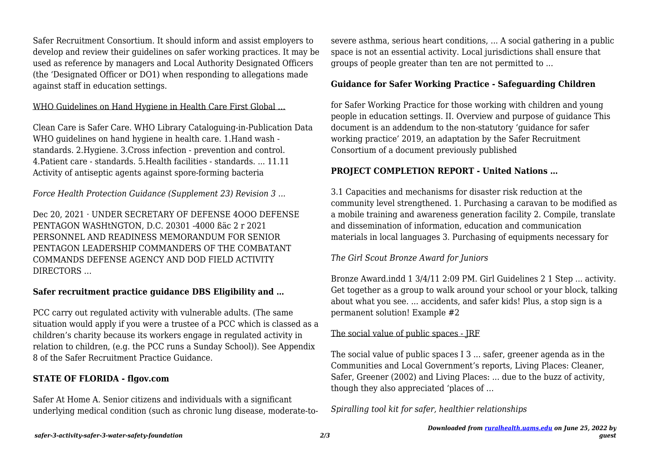Safer Recruitment Consortium. It should inform and assist employers to develop and review their quidelines on safer working practices. It may be used as reference by managers and Local Authority Designated Officers (the 'Designated Officer or DO1) when responding to allegations made against staff in education settings.

## WHO Guidelines on Hand Hygiene in Health Care First Global ...

Clean Care is Safer Care. WHO Library Cataloguing-in-Publication Data WHO guidelines on hand hygiene in health care. 1.Hand wash standards. 2.Hygiene. 3.Cross infection - prevention and control. 4.Patient care - standards. 5.Health facilities - standards. ... 11.11 Activity of antiseptic agents against spore-forming bacteria

*Force Health Protection Guidance (Supplement 23) Revision 3 ...*

Dec 20, 2021 · UNDER SECRETARY OF DEFENSE 4OOO DEFENSE PENTAGON WASHtNGTON, D.C. 20301 -4000 ßäc 2 r 2021 PERSONNEL AND READINESS MEMORANDUM FOR SENIOR PENTAGON LEADERSHIP COMMANDERS OF THE COMBATANT COMMANDS DEFENSE AGENCY AND DOD FIELD ACTIVITY DIRECTORS …

## **Safer recruitment practice guidance DBS Eligibility and …**

PCC carry out regulated activity with vulnerable adults. (The same situation would apply if you were a trustee of a PCC which is classed as a children's charity because its workers engage in regulated activity in relation to children, (e.g. the PCC runs a Sunday School)). See Appendix 8 of the Safer Recruitment Practice Guidance.

## **STATE OF FLORIDA - flgov.com**

Safer At Home A. Senior citizens and individuals with a significant underlying medical condition (such as chronic lung disease, moderate-tosevere asthma, serious heart conditions, ... A social gathering in a public space is not an essential activity. Local jurisdictions shall ensure that groups of people greater than ten are not permitted to ...

# **Guidance for Safer Working Practice - Safeguarding Children**

for Safer Working Practice for those working with children and young people in education settings. II. Overview and purpose of guidance This document is an addendum to the non-statutory 'guidance for safer working practice' 2019, an adaptation by the Safer Recruitment Consortium of a document previously published

# **PROJECT COMPLETION REPORT - United Nations …**

3.1 Capacities and mechanisms for disaster risk reduction at the community level strengthened. 1. Purchasing a caravan to be modified as a mobile training and awareness generation facility 2. Compile, translate and dissemination of information, education and communication materials in local languages 3. Purchasing of equipments necessary for

# *The Girl Scout Bronze Award for Juniors*

Bronze Award.indd 1 3/4/11 2:09 PM. Girl Guidelines 2 1 Step ... activity. Get together as a group to walk around your school or your block, talking about what you see. ... accidents, and safer kids! Plus, a stop sign is a permanent solution! Example #2

# The social value of public spaces - JRF

The social value of public spaces I 3 ... safer, greener agenda as in the Communities and Local Government's reports, Living Places: Cleaner, Safer, Greener (2002) and Living Places: ... due to the buzz of activity, though they also appreciated 'places of …

*Spiralling tool kit for safer, healthier relationships*

*guest*